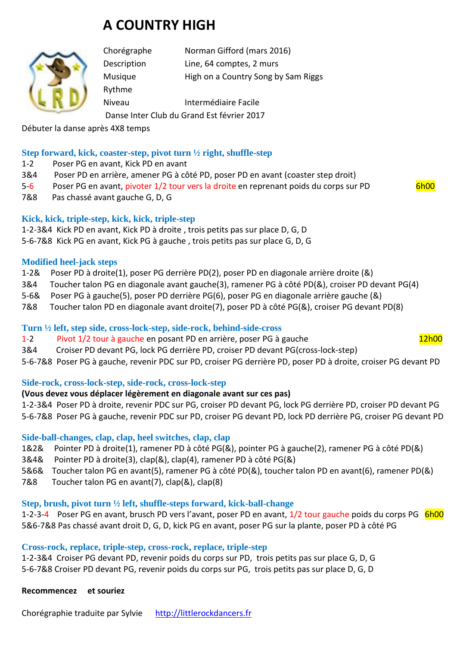# **A COUNTRY HIGH**



Chorégraphe Norman Gifford (mars 2016) Description Line, 64 comptes, 2 murs Musique **High on a Country Song by Sam Riggs** Rythme Niveau Intermédiaire Facile

Danse Inter Club du Grand Est février 2017

Débuter la danse après 4X8 temps

### **Step forward, kick, coaster-step, pivot turn ½ right, shuffle-step**

- 1-2 Poser PG en avant, Kick PD en avant
- 3&4 Poser PD en arrière, amener PG à côté PD, poser PD en avant (coaster step droit)
- 5-6 Poser PG en avant, pivoter 1/2 tour vers la droite en reprenant poids du corps sur PD 6h00
- 7&8 Pas chassé avant gauche G, D, G

### **Kick, kick, triple-step, kick, kick, triple-step**

1-2-3&4 Kick PD en avant, Kick PD à droite , trois petits pas sur place D, G, D 5-6-7&8 Kick PG en avant, Kick PG à gauche , trois petits pas sur place G, D, G

### **Modified heel-jack steps**

- 1-2& Poser PD à droite(1), poser PG derrière PD(2), poser PD en diagonale arrière droite (&)
- 3&4 Toucher talon PG en diagonale avant gauche(3), ramener PG à côté PD(&), croiser PD devant PG(4)
- 5-6& Poser PG à gauche(5), poser PD derrière PG(6), poser PG en diagonale arrière gauche (&)
- 7&8 Toucher talon PD en diagonale avant droite(7), poser PD à côté PG(&), croiser PG devant PD(8)

### **Turn ½ left, step side, cross-lock-step, side-rock, behind-side-cross**

- 1-2 Pivot 1/2 tour à gauche en posant PD en arrière, poser PG à gauche 12h00
- 3&4 Croiser PD devant PG, lock PG derrière PD, croiser PD devant PG(cross-lock-step)
- 5-6-7&8 Poser PG à gauche, revenir PDC sur PD, croiser PG derrière PD, poser PD à droite, croiser PG devant PD

### **Side-rock, cross-lock-step, side-rock, cross-lock-step**

### **(Vous devez vous déplacer légèrement en diagonale avant sur ces pas)**

1-2-3&4 Poser PD à droite, revenir PDC sur PG, croiser PD devant PG, lock PG derrière PD, croiser PD devant PG 5-6-7&8 Poser PG à gauche, revenir PDC sur PD, croiser PG devant PD, lock PD derrière PG, croiser PG devant PD

### **Side-ball-changes, clap, clap, heel switches, clap, clap**

- 1&2& Pointer PD à droite(1), ramener PD à côté PG(&), pointer PG à gauche(2), ramener PG à côté PD(&)
- 3&4& Pointer PD à droite(3), clap(&), clap(4), ramener PD à côté PG(&)
- 5&6& Toucher talon PG en avant(5), ramener PG à côté PD(&), toucher talon PD en avant(6), ramener PD(&)
- 7&8 Toucher talon PG en avant(7), clap(&), clap(8)

### **Step, brush, pivot turn ½ left, shuffle-steps forward, kick-ball-change**

1-2-3-4 Poser PG en avant, brusch PD vers l'avant, poser PD en avant, 1/2 tour gauche poids du corps PG 6h00 5&6-7&8 Pas chassé avant droit D, G, D, kick PG en avant, poser PG sur la plante, poser PD à côté PG

### **Cross-rock, replace, triple-step, cross-rock, replace, triple-step**

1-2-3&4 Croiser PG devant PD, revenir poids du corps sur PD, trois petits pas sur place G, D, G 5-6-7&8 Croiser PD devant PG, revenir poids du corps sur PG, trois petits pas sur place D, G, D

**Recommencez et souriez**

Chorégraphie traduite par Sylvie http://littlerockdancers.fr